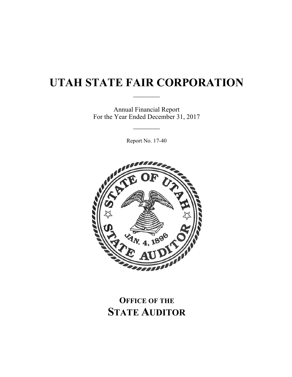$\mathcal{L}_\text{max}$ 

Annual Financial Report For the Year Ended December 31, 2017

 $\frac{1}{2}$ 

Report No. 17-40



# **OFFICE OF THE STATE AUDITOR**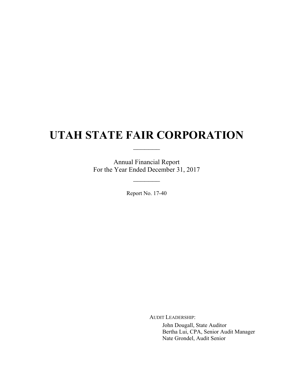$\frac{1}{2}$ 

Annual Financial Report For the Year Ended December 31, 2017

 $\mathcal{L}_\text{max}$ 

Report No. 17-40

AUDIT LEADERSHIP:

John Dougall, State Auditor Bertha Lui, CPA, Senior Audit Manager Nate Grondel, Audit Senior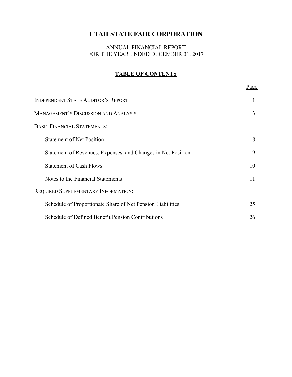## ANNUAL FINANCIAL REPORT FOR THE YEAR ENDED DECEMBER 31, 2017

## **TABLE OF CONTENTS**

|                                                              | <u>Page</u> |
|--------------------------------------------------------------|-------------|
| <b>INDEPENDENT STATE AUDITOR'S REPORT</b>                    | 1           |
| <b>MANAGEMENT'S DISCUSSION AND ANALYSIS</b>                  | 3           |
| <b>BASIC FINANCIAL STATEMENTS:</b>                           |             |
| <b>Statement of Net Position</b>                             | 8           |
| Statement of Revenues, Expenses, and Changes in Net Position | 9           |
| <b>Statement of Cash Flows</b>                               | 10          |
| Notes to the Financial Statements                            | 11          |
| REQUIRED SUPPLEMENTARY INFORMATION:                          |             |
| Schedule of Proportionate Share of Net Pension Liabilities   | 25          |
| Schedule of Defined Benefit Pension Contributions            | 26          |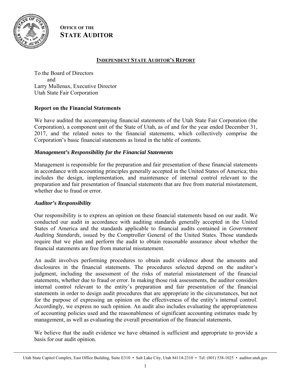

**OFFICE OF THE STATE AUDITOR**

## **INDEPENDENT STATE AUDITOR'S REPORT**

To the Board of Directors and Larry Mullenax, Executive Director Utah State Fair Corporation

## **Report on the Financial Statements**

We have audited the accompanying financial statements of the Utah State Fair Corporation (the Corporation), a component unit of the State of Utah, as of and for the year ended December 31, 2017, and the related notes to the financial statements, which collectively comprise the Corporation's basic financial statements as listed in the table of contents.

## *Management's Responsibility for the Financial Statements*

Management is responsible for the preparation and fair presentation of these financial statements in accordance with accounting principles generally accepted in the United States of America; this includes the design, implementation, and maintenance of internal control relevant to the preparation and fair presentation of financial statements that are free from material misstatement, whether due to fraud or error.

## *Auditor's Responsibility*

Our responsibility is to express an opinion on these financial statements based on our audit. We conducted our audit in accordance with auditing standards generally accepted in the United States of America and the standards applicable to financial audits contained in *Government Auditing Standards,* issued by the Comptroller General of the United States. Those standards require that we plan and perform the audit to obtain reasonable assurance about whether the financial statements are free from material misstatement.

An audit involves performing procedures to obtain audit evidence about the amounts and disclosures in the financial statements. The procedures selected depend on the auditor's judgment, including the assessment of the risks of material misstatement of the financial statements, whether due to fraud or error. In making those risk assessments, the auditor considers internal control relevant to the entity's preparation and fair presentation of the financial statements in order to design audit procedures that are appropriate in the circumstances, but not for the purpose of expressing an opinion on the effectiveness of the entity's internal control. Accordingly, we express no such opinion. An audit also includes evaluating the appropriateness of accounting policies used and the reasonableness of significant accounting estimates made by management, as well as evaluating the overall presentation of the financial statements.

We believe that the audit evidence we have obtained is sufficient and appropriate to provide a basis for our audit opinion.

Utah State Capitol Complex, East Office Building, Suite E310 • Salt Lake City, Utah 84114-2310 • Tel: (801) 538-1025 • auditor.utah.gov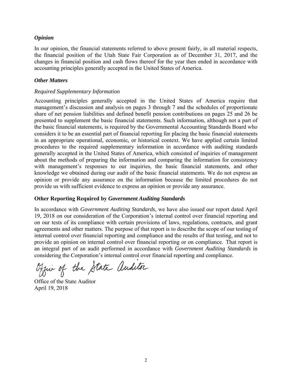#### *Opinion*

In our opinion, the financial statements referred to above present fairly, in all material respects, the financial position of the Utah State Fair Corporation as of December 31, 2017, and the changes in financial position and cash flows thereof for the year then ended in accordance with accounting principles generally accepted in the United States of America.

#### *Other Matters*

#### *Required Supplementary Information*

Accounting principles generally accepted in the United States of America require that management's discussion and analysis on pages 3 through 7 and the schedules of proportionate share of net pension liabilities and defined benefit pension contributions on pages 25 and 26 be presented to supplement the basic financial statements. Such information, although not a part of the basic financial statements, is required by the Governmental Accounting Standards Board who considers it to be an essential part of financial reporting for placing the basic financial statements in an appropriate operational, economic, or historical context. We have applied certain limited procedures to the required supplementary information in accordance with auditing standards generally accepted in the United States of America, which consisted of inquiries of management about the methods of preparing the information and comparing the information for consistency with management's responses to our inquiries, the basic financial statements, and other knowledge we obtained during our audit of the basic financial statements. We do not express an opinion or provide any assurance on the information because the limited procedures do not provide us with sufficient evidence to express an opinion or provide any assurance.

## **Other Reporting Required by** *Government Auditing Standards*

In accordance with *Government Auditing Standards*, we have also issued our report dated April 19, 2018 on our consideration of the Corporation's internal control over financial reporting and on our tests of its compliance with certain provisions of laws, regulations, contracts, and grant agreements and other matters. The purpose of that report is to describe the scope of our testing of internal control over financial reporting and compliance and the results of that testing, and not to provide an opinion on internal control over financial reporting or on compliance. That report is an integral part of an audit performed in accordance with *Government Auditing Standards* in considering the Corporation's internal control over financial reporting and compliance.

Office of the State auditor

Office of the State Auditor April 19, 2018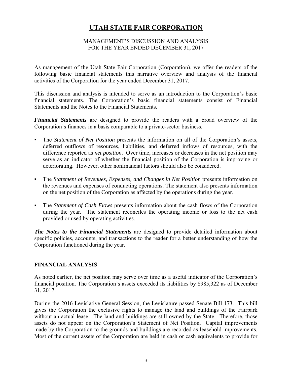## MANAGEMENT'S DISCUSSION AND ANALYSIS FOR THE YEAR ENDED DECEMBER 31, 2017

As management of the Utah State Fair Corporation (Corporation), we offer the readers of the following basic financial statements this narrative overview and analysis of the financial activities of the Corporation for the year ended December 31, 2017.

This discussion and analysis is intended to serve as an introduction to the Corporation's basic financial statements. The Corporation's basic financial statements consist of Financial Statements and the Notes to the Financial Statements.

*Financial Statements* are designed to provide the readers with a broad overview of the Corporation's finances in a basis comparable to a private-sector business.

- The *Statement of Net Position* presents the information on all of the Corporation's assets, deferred outflows of resources, liabilities, and deferred inflows of resources, with the difference reported as *net position*. Over time, increases or decreases in the net position may serve as an indicator of whether the financial position of the Corporation is improving or deteriorating. However, other nonfinancial factors should also be considered.
- The *Statement of Revenues, Expenses, and Changes in Net Position* presents information on the revenues and expenses of conducting operations. The statement also presents information on the net position of the Corporation as affected by the operations during the year.
- The *Statement of Cash Flows* presents information about the cash flows of the Corporation during the year. The statement reconciles the operating income or loss to the net cash provided or used by operating activities.

*The Notes to the Financial Statements* are designed to provide detailed information about specific policies, accounts, and transactions to the reader for a better understanding of how the Corporation functioned during the year.

## **FINANCIAL ANALYSIS**

As noted earlier, the net position may serve over time as a useful indicator of the Corporation's financial position. The Corporation's assets exceeded its liabilities by \$985,322 as of December 31, 2017.

During the 2016 Legislative General Session, the Legislature passed Senate Bill 173. This bill gives the Corporation the exclusive rights to manage the land and buildings of the Fairpark without an actual lease. The land and buildings are still owned by the State. Therefore, those assets do not appear on the Corporation's Statement of Net Position. Capital improvements made by the Corporation to the grounds and buildings are recorded as leasehold improvements. Most of the current assets of the Corporation are held in cash or cash equivalents to provide for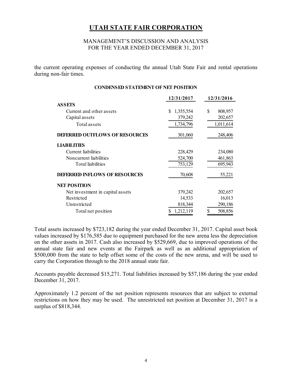#### MANAGEMENT'S DISCUSSION AND ANALYSIS FOR THE YEAR ENDED DECEMBER 31, 2017

the current operating expenses of conducting the annual Utah State Fair and rental operations during non-fair times.

#### **CONDENSED STATEMENT OF NET POSITION**

|                                       | 12/31/2017      | 12/31/2016    |
|---------------------------------------|-----------------|---------------|
| <b>ASSETS</b>                         |                 |               |
| Current and other assets              | \$<br>1,355,554 | \$<br>808,957 |
| Capital assets                        | 379,242         | 202,657       |
| Total assets                          | 1,734,796       | 1,011,614     |
| <b>DEFERRED OUTFLOWS OF RESOURCES</b> | 301,060         | 248,406       |
| <b>LIABILITIES</b>                    |                 |               |
| Current liabilities                   | 228,429         | 234,080       |
| Noncurrent liabilities                | 524,700         | 461,863       |
| Total liabilities                     | 753,129         | 695,943       |
| <b>DEFERRED INFLOWS OF RESOURCES</b>  | 70,608          | 55,221        |
| <b>NET POSITION</b>                   |                 |               |
| Net investment in capital assets      | 379,242         | 202,657       |
| Restricted                            | 14,533          | 16,013        |
| Unrestricted                          | 818,344         | 290,186       |
| Total net position                    | 1,212,119       | 508,856       |

Total assets increased by \$723,182 during the year ended December 31, 2017. Capital asset book values increased by \$176,585 due to equipment purchased for the new arena less the depreciation on the other assets in 2017. Cash also increased by \$529,669, due to improved operations of the annual state fair and new events at the Fairpark as well as an additional appropriation of \$500,000 from the state to help offset some of the costs of the new arena, and will be used to carry the Corporation through to the 2018 annual state fair.

Accounts payable decreased \$15,271. Total liabilities increased by \$57,186 during the year ended December 31, 2017.

Approximately 1.2 percent of the net position represents resources that are subject to external restrictions on how they may be used. The unrestricted net position at December 31, 2017 is a surplus of \$818,344.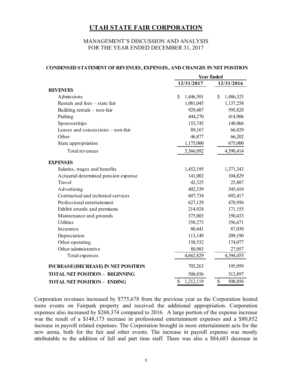#### MANAGEMENT'S DISCUSSION AND ANALYSIS FOR THE YEAR ENDED DECEMBER 31, 2017

|                                            | <b>Year Ended</b> |                 |  |
|--------------------------------------------|-------------------|-----------------|--|
|                                            | 12/31/2017        | 12/31/2016      |  |
| <b>REVENUES</b>                            |                   |                 |  |
| Admissions                                 | \$<br>1,446,501   | \$<br>1,486,325 |  |
| Rentals and fees - state fair              | 1,081,045         | 1,137,258       |  |
| Building rentals - non-fair                | 929,487           | 595,828         |  |
| Parking                                    | 444,270           | 414,906         |  |
| Sponsorships                               | 153,745           | 148,066         |  |
| Leases and concessions – non-fair          | 89,167            | 66,829          |  |
| Other                                      | 46,877            | 66,202          |  |
| State appropriation                        | 1,175,000         | 675,000         |  |
| Total revenues                             | 5,366,092         | 4,590,414       |  |
| <b>EXPENSES</b>                            |                   |                 |  |
| Salaries, wages and benefits               | 1,452,195         | 1,371,343       |  |
| Actuarial determined pension expense       | 141,002           | 104,829         |  |
| Travel                                     | 42,325            | 25,887          |  |
| Advertising                                | 402,339           | 345,410         |  |
| Contractual and technical services         | 607,734           | 692,417         |  |
| Professional entertainment                 | 627,129           | 478,956         |  |
| Exhibit awards and premiums                | 214,924           | 171,155         |  |
| Maintenance and grounds                    | 375,803           | 350,433         |  |
| <b>Utilities</b>                           | 358,273           | 356,671         |  |
| Insurance                                  | 80,441            | 87,030          |  |
| Depreciation                               | 113,149           | 209,190         |  |
| Other operating                            | 158,532           | 174,077         |  |
| Other administrative                       | 88,983            | 27,057          |  |
| Total expenses                             | 4,662,829         | 4,394,455       |  |
| <b>INCREASE/(DECREASE) IN NET POSITION</b> | 703,263           | 195,959         |  |
| <b>TOTAL NET POSITION - BEGINNING</b>      | 508,856           | 312,897         |  |
| <b>TOTAL NET POSITION - ENDING</b>         | \$<br>1,212,119   | \$<br>508,856   |  |

#### **CONDENSED STATEMENT OF REVENUES, EXPENSES, AND CHANGES IN NET POSITION**

Corporation revenues increased by \$775,678 from the previous year as the Corporation hosted more events on Fairpark property and received the additional appropriation. Corporation expenses also increased by \$268,374 compared to 2016. A large portion of the expense increase was the result of a \$148,173 increase in professional entertainment expenses and a \$80,852 increase in payroll related expenses. The Corporation brought in more entertainment acts for the new arena, both for the fair and other events. The increase in payroll expense was mostly attributable to the addition of full and part time staff. There was also a \$84,683 decrease in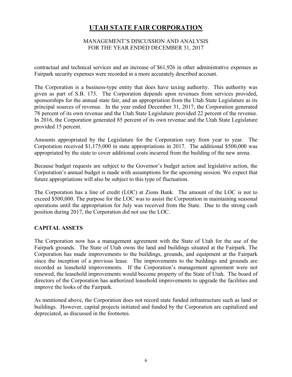## MANAGEMENT'S DISCUSSION AND ANALYSIS FOR THE YEAR ENDED DECEMBER 31, 2017

contractual and technical services and an increase of \$61,926 in other administrative expenses as Fairpark security expenses were recorded in a more accurately described account.

The Corporation is a business-type entity that does have taxing authority. This authority was given as part of S.B. 173. The Corporation depends upon revenues from services provided, sponsorships for the annual state fair, and an appropriation from the Utah State Legislature as its principal sources of revenue. In the year ended December 31, 2017, the Corporation generated 78 percent of its own revenue and the Utah State Legislature provided 22 percent of the revenue. In 2016, the Corporation generated 85 percent of its own revenue and the Utah State Legislature provided 15 percent.

Amounts appropriated by the Legislature for the Corporation vary from year to year. The Corporation received \$1,175,000 in state appropriations in 2017. The additional \$500,000 was appropriated by the state to cover additional costs incurred from the building of the new arena.

Because budget requests are subject to the Governor's budget action and legislative action, the Corporation's annual budget is made with assumptions for the upcoming session. We expect that future appropriations will also be subject to this type of fluctuation.

The Corporation has a line of credit (LOC) at Zions Bank. The amount of the LOC is not to exceed \$500,000. The purpose for the LOC was to assist the Corporation in maintaining seasonal operations until the appropriation for July was received from the State. Due to the strong cash position during 2017, the Corporation did not use the LOC.

## **CAPITAL ASSETS**

The Corporation now has a management agreement with the State of Utah for the use of the Fairpark grounds. The State of Utah owns the land and buildings situated at the Fairpark. The Corporation has made improvements to the buildings, grounds, and equipment at the Fairpark since the inception of a previous lease. The improvements to the buildings and grounds are recorded as leasehold improvements. If the Corporation's management agreement were not renewed, the leasehold improvements would become property of the State of Utah. The board of directors of the Corporation has authorized leasehold improvements to upgrade the facilities and improve the looks of the Fairpark.

As mentioned above, the Corporation does not record state funded infrastructure such as land or buildings. However, capital projects initiated and funded by the Corporation are capitalized and depreciated, as discussed in the footnotes.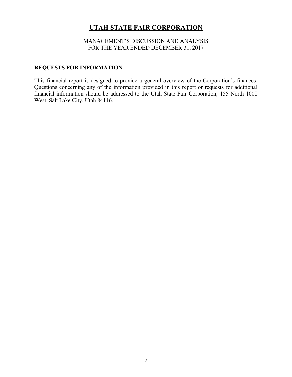MANAGEMENT'S DISCUSSION AND ANALYSIS FOR THE YEAR ENDED DECEMBER 31, 2017

## **REQUESTS FOR INFORMATION**

This financial report is designed to provide a general overview of the Corporation's finances. Questions concerning any of the information provided in this report or requests for additional financial information should be addressed to the Utah State Fair Corporation, 155 North 1000 West, Salt Lake City, Utah 84116.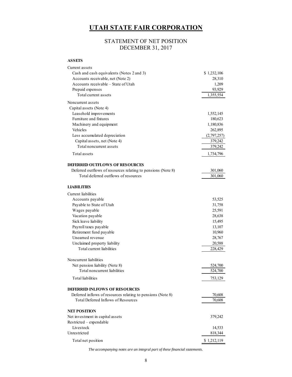## STATEMENT OF NET POSITION DECEMBER 31, 2017

#### **ASSETS**

| Current assets                                               |             |
|--------------------------------------------------------------|-------------|
| Cash and cash equivalents (Notes 2 and 3)                    | \$1,232,106 |
| Accounts receivable, net (Note 2)                            | 28,310      |
| Accounts receivable – State of Utah                          | 1,209       |
| Prepaid expenses                                             | 93,929      |
| Total current assets                                         | 1,355,554   |
| Noncurrent assets                                            |             |
| Capital assets (Note 4)                                      |             |
| Leasehold improvements                                       | 1,552,145   |
| Furniture and fixtures                                       | 180,623     |
| Machinery and equipment                                      | 1,180,836   |
| Vehicles                                                     | 262,895     |
| Less accumulated depreciation                                | (2,797,257) |
| Capital assets, net (Note 4)                                 | 379,242     |
| Total noncurrent assets                                      | 379,242     |
| Total assets                                                 | 1,734,796   |
|                                                              |             |
| <b>DEFERRED OUTFLOWS OF RESOURCES</b>                        |             |
| Deferred outflows of resources relating to pensions (Note 8) | 301,060     |
| Total deferred outflows of resources                         | 301,060     |
| <b>LIABILITIES</b>                                           |             |
| Current liabilities                                          |             |
|                                                              |             |
| Accounts payable<br>Payable to State of Utah                 | 53,525      |
|                                                              | 31,758      |
| Wages payable                                                | 25,591      |
| Vacation payable                                             | 28,638      |
| Sick leave liability                                         | 15,495      |
| Payroll taxes payable                                        | 13,107      |
| Retirement fund payable<br>Unearned revenue                  | 10,960      |
|                                                              | 28,767      |
| Unclaimed property liability<br>Total current liabilities    | 20,588      |
|                                                              | 228,429     |
| Noncurrent liabilities                                       |             |
| Net pension liability (Note 8)                               | 524,700     |
| Total noncurrent liabilities                                 | 524,700     |
| Total liabilities                                            | 753,129     |
| <b>DEFERRED INLFOWS OF RESOURCES</b>                         |             |
| Deferred inflows of resources relating to pensions (Note 8)  | 70,608      |
| Total Deferred Inflows of Resources                          | 70,608      |
|                                                              |             |
| <b>NET POSITION</b>                                          |             |
| Net investment in capital assets                             | 379,242     |
| Restricted - expendable                                      |             |
| Livestock                                                    | 14,533      |
| Unrestricted                                                 | 818,344     |
| Total net position                                           | \$1,212,119 |

*The accompanying notes are an integral part of these financial statements.*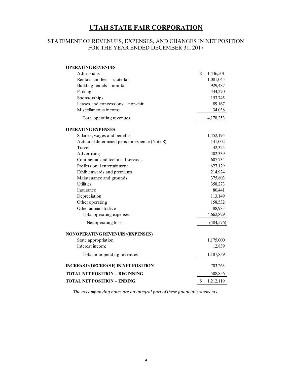## STATEMENT OF REVENUES, EXPENSES, AND CHANGES IN NET POSITION FOR THE YEAR ENDED DECEMBER 31, 2017

| <b>OPERATING REVENUES</b>                     |                 |
|-----------------------------------------------|-----------------|
| Admissions                                    | \$<br>1,446,501 |
| Rentals and fees - state fair                 | 1,081,045       |
| Building rentals - non-fair                   | 929,487         |
| Parking                                       | 444,270         |
| Sponsorships                                  | 153,745         |
| Leases and concessions - non-fair             | 89,167          |
| Miscellaneous income                          | 34,038          |
| Total operating revenues                      | 4,178,253       |
| <b>OPERATING EXPENSES</b>                     |                 |
| Salaries, wages and benefits                  | 1,452,195       |
| Actuarial determined pension expense (Note 8) | 141,002         |
| Travel                                        | 42,325          |
| Advertising                                   | 402,339         |
| Contractual and technical services            | 607,734         |
| Professional entertainment                    | 627,129         |
| Exhibit awards and premiums                   | 214,924         |
| Maintenance and grounds                       | 375,803         |
| <b>Utilities</b>                              | 358,273         |
| Insurance                                     | 80,441          |
| Depreciation                                  | 113,149         |
| Other operating                               | 158,532         |
| Other administrative                          | 88,983          |
| Total operating expenses                      | 4,662,829       |
| Net operating loss                            | (484, 576)      |
| NONOPERATING REVENUES/(EXPENSES)              |                 |
| State appropriation                           | 1,175,000       |
| Interest income                               | 12,839          |
| Total nonoperating revenues                   | 1,187,839       |
| <b>INCREASE/(DECREASE) IN NET POSITION</b>    | 703,263         |
| <b>TOTAL NET POSITION - BEGINNING</b>         | 508,856         |
| <b>TOTAL NET POSITION - ENDING</b>            | \$<br>1,212,119 |

*The accompanying notes are an integral part of these financial statements.*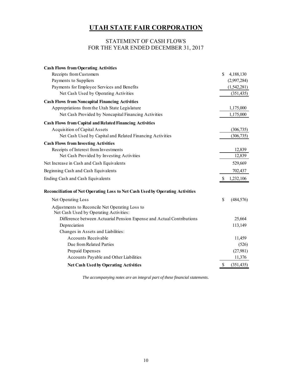## STATEMENT OF CASH FLOWS FOR THE YEAR ENDED DECEMBER 31, 2017

| <b>Cash Flows from Operating Activities</b>                                              |               |             |
|------------------------------------------------------------------------------------------|---------------|-------------|
| Receipts from Customers                                                                  | $\mathcal{S}$ | 4,188,130   |
| Payments to Suppliers                                                                    |               | (2,997,284) |
| Payments for Employee Services and Benefits                                              |               | (1,542,281) |
| Net Cash Used by Operating Activities                                                    |               | (351, 435)  |
| <b>Cash Flows from Noncapital Financing Activities</b>                                   |               |             |
| Appropriations from the Utah State Legislature                                           |               | 1,175,000   |
| Net Cash Provided by Noncapital Financing Activities                                     |               | 1,175,000   |
| <b>Cash Flows from Capital and Related Financing Activities</b>                          |               |             |
| <b>Acquisition of Capital Assets</b>                                                     |               | (306, 735)  |
| Net Cash Used by Capital and Related Financing Activities                                |               | (306, 735)  |
| <b>Cash Flows from Investing Activities</b>                                              |               |             |
| Receipts of Interest from Investments                                                    |               | 12,839      |
| Net Cash Provided by Investing Activities                                                |               | 12,839      |
| Net Increase in Cash and Cash Equivalents                                                |               | 529,669     |
| Beginning Cash and Cash Equivalents                                                      |               | 702,437     |
| Ending Cash and Cash Equivalents                                                         | \$            | 1,232,106   |
| Reconciliation of Net Operating Loss to Net Cash Used by Operating Activities            |               |             |
| Net Operating Loss                                                                       | \$            | (484, 576)  |
| Adjustments to Reconcile Net Operating Loss to<br>Net Cash Used by Operating Activities: |               |             |
| Difference between Actuarial Pension Expense and Actual Contributions                    |               | 25,664      |
| Depreciation                                                                             |               | 113,149     |
| Changes in Assets and Liabilities:                                                       |               |             |
| <b>Accounts Receivable</b>                                                               |               | 11,459      |
| Due from Related Parties                                                                 |               | (526)       |
| Prepaid Expenses                                                                         |               | (27,981)    |
| Accounts Payable and Other Liabilities                                                   |               | 11,376      |
| <b>Net Cash Used by Operating Activities</b>                                             | \$            | (351, 435)  |

*The accompanying notes are an integral part of these financial statements.*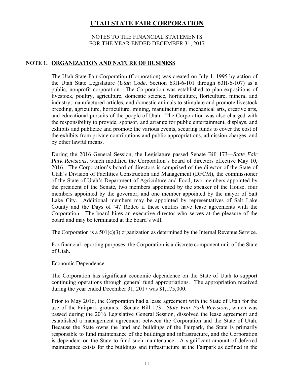## NOTES TO THE FINANCIAL STATEMENTS FOR THE YEAR ENDED DECEMBER 31, 2017

## **NOTE 1. ORGANIZATION AND NATURE OF BUSINESS**

The Utah State Fair Corporation (Corporation) was created on July 1, 1995 by action of the Utah State Legislature (*Utah Code,* Section 63H-6-101 through 63H-6-107) as a public, nonprofit corporation. The Corporation was established to plan expositions of livestock, poultry, agriculture, domestic science, horticulture, floriculture, mineral and industry, manufactured articles, and domestic animals to stimulate and promote livestock breeding, agriculture, horticulture, mining, manufacturing, mechanical arts, creative arts, and educational pursuits of the people of Utah. The Corporation was also charged with the responsibility to provide, sponsor, and arrange for public entertainment, displays, and exhibits and publicize and promote the various events, securing funds to cover the cost of the exhibits from private contributions and public appropriations, admission charges, and by other lawful means.

During the 2016 General Session, the Legislature passed Senate Bill 173—*State Fair Park Revisions,* which modified the Corporation's board of directors effective May 10, 2016. The Corporation's board of directors is comprised of the director of the State of Utah's Division of Facilities Construction and Management (DFCM), the commissioner of the State of Utah's Department of Agriculture and Food, two members appointed by the president of the Senate, two members appointed by the speaker of the House, four members appointed by the governor, and one member appointed by the mayor of Salt Lake City. Additional members may be appointed by representatives of Salt Lake County and the Days of '47 Rodeo if these entities have lease agreements with the Corporation. The board hires an executive director who serves at the pleasure of the board and may be terminated at the board's will.

The Corporation is a  $501(c)(3)$  organization as determined by the Internal Revenue Service.

For financial reporting purposes, the Corporation is a discrete component unit of the State of Utah.

## Economic Dependence

The Corporation has significant economic dependence on the State of Utah to support continuing operations through general fund appropriations. The appropriation received during the year ended December 31, 2017 was \$1,175,000.

Prior to May 2016, the Corporation had a lease agreement with the State of Utah for the use of the Fairpark grounds. Senate Bill 173—*State Fair Park Revisions*, which was passed during the 2016 Legislative General Session, dissolved the lease agreement and established a management agreement between the Corporation and the State of Utah. Because the State owns the land and buildings of the Fairpark, the State is primarily responsible to fund maintenance of the buildings and infrastructure, and the Corporation is dependent on the State to fund such maintenance. A significant amount of deferred maintenance exists for the buildings and infrastructure at the Fairpark as defined in the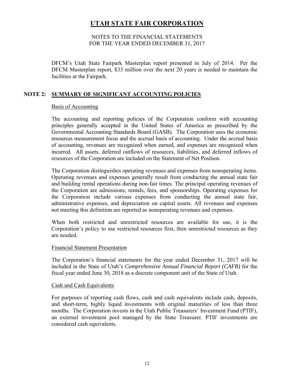## NOTES TO THE FINANCIAL STATEMENTS FOR THE YEAR ENDED DECEMBER 31, 2017

DFCM's Utah State Fairpark Masterplan report presented in July of 2014. Per the DFCM Masterplan report, \$33 million over the next 20 years is needed to maintain the facilities at the Fairpark.

## **NOTE 2: SUMMARY OF SIGNIFICANT ACCOUNTING POLICIES**

## Basis of Accounting

The accounting and reporting policies of the Corporation conform with accounting principles generally accepted in the United States of America as prescribed by the Governmental Accounting Standards Board (GASB). The Corporation uses the economic resources measurement focus and the accrual basis of accounting. Under the accrual basis of accounting, revenues are recognized when earned, and expenses are recognized when incurred. All assets, deferred outflows of resources, liabilities, and deferred inflows of resources of the Corporation are included on the Statement of Net Position.

The Corporation distinguishes operating revenues and expenses from nonoperating items. Operating revenues and expenses generally result from conducting the annual state fair and building rental operations during non-fair times. The principal operating revenues of the Corporation are admissions, rentals, fees, and sponsorships. Operating expenses for the Corporation include various expenses from conducting the annual state fair, administrative expenses, and depreciation on capital assets. All revenues and expenses not meeting this definition are reported as nonoperating revenues and expenses.

When both restricted and unrestricted resources are available for use, it is the Corporation's policy to use restricted resources first, then unrestricted resources as they are needed.

#### Financial Statement Presentation

The Corporation's financial statements for the year ended December 31, 2017 will be included in the State of Utah's *Comprehensive Annual Financial Report (CAFR)* for the fiscal year ended June 30, 2018 as a discrete component unit of the State of Utah.

#### Cash and Cash Equivalents

For purposes of reporting cash flows, cash and cash equivalents include cash, deposits, and short-term, highly liquid investments with original maturities of less than three months. The Corporation invests in the Utah Public Treasurers' Investment Fund (PTIF), an external investment pool managed by the State Treasurer. PTIF investments are considered cash equivalents.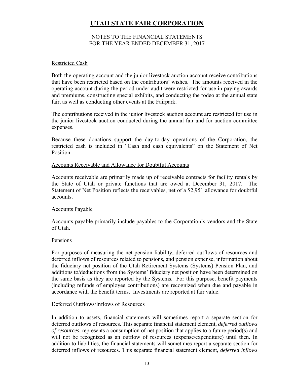## NOTES TO THE FINANCIAL STATEMENTS FOR THE YEAR ENDED DECEMBER 31, 2017

#### Restricted Cash

Both the operating account and the junior livestock auction account receive contributions that have been restricted based on the contributors' wishes. The amounts received in the operating account during the period under audit were restricted for use in paying awards and premiums, constructing special exhibits, and conducting the rodeo at the annual state fair, as well as conducting other events at the Fairpark.

The contributions received in the junior livestock auction account are restricted for use in the junior livestock auction conducted during the annual fair and for auction committee expenses.

Because these donations support the day-to-day operations of the Corporation, the restricted cash is included in "Cash and cash equivalents" on the Statement of Net Position.

## Accounts Receivable and Allowance for Doubtful Accounts

Accounts receivable are primarily made up of receivable contracts for facility rentals by the State of Utah or private functions that are owed at December 31, 2017. The Statement of Net Position reflects the receivables, net of a \$2,951 allowance for doubtful accounts.

#### Accounts Payable

Accounts payable primarily include payables to the Corporation's vendors and the State of Utah.

#### Pensions

For purposes of measuring the net pension liability, deferred outflows of resources and deferred inflows of resources related to pensions, and pension expense, information about the fiduciary net position of the Utah Retirement Systems (Systems) Pension Plan, and additions to/deductions from the Systems' fiduciary net position have been determined on the same basis as they are reported by the Systems. For this purpose, benefit payments (including refunds of employee contributions) are recognized when due and payable in accordance with the benefit terms. Investments are reported at fair value.

## Deferred Outflows/Inflows of Resources

In addition to assets, financial statements will sometimes report a separate section for deferred outflows of resources. This separate financial statement element, *deferred outflows of resources,* represents a consumption of net position that applies to a future period(s) and will not be recognized as an outflow of resources (expense/expenditure) until then. In addition to liabilities, the financial statements will sometimes report a separate section for deferred inflows of resources. This separate financial statement element, *deferred inflows*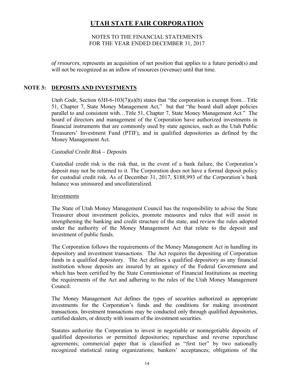## NOTES TO THE FINANCIAL STATEMENTS FOR THE YEAR ENDED DECEMBER 31, 2017

*of resources,* represents an acquisition of net position that applies to a future period(s) and will not be recognized as an inflow of resources (revenue) until that time.

## **NOTE 3: DEPOSITS AND INVESTMENTS**

*Utah Code,* Section 63H-6-103(7)(a)(b) states that "the corporation is exempt from…Title 51, Chapter 7, State Money Management Act," but that "the board shall adopt policies parallel to and consistent with…Title 51, Chapter 7, State Money Management Act." The board of directors and management of the Corporation have authorized investments in financial instruments that are commonly used by state agencies, such as the Utah Public Treasurers' Investment Fund (PTIF), and in qualified depositories as defined by the Money Management Act.

## *Custodial Credit Risk – Deposits*

Custodial credit risk is the risk that, in the event of a bank failure, the Corporation's deposit may not be returned to it. The Corporation does not have a formal deposit policy for custodial credit risk. As of December 31, 2017, \$188,993 of the Corporation's bank balance was uninsured and uncollateralized.

## Investments

The State of Utah Money Management Council has the responsibility to advise the State Treasurer about investment policies, promote measures and rules that will assist in strengthening the banking and credit structure of the state, and review the rules adopted under the authority of the Money Management Act that relate to the deposit and investment of public funds.

The Corporation follows the requirements of the Money Management Act in handling its depository and investment transactions. The Act requires the depositing of Corporation funds in a qualified depository. The Act defines a qualified depository as any financial institution whose deposits are insured by an agency of the Federal Government and which has been certified by the State Commissioner of Financial Institutions as meeting the requirements of the Act and adhering to the rules of the Utah Money Management Council.

The Money Management Act defines the types of securities authorized as appropriate investments for the Corporation's funds and the conditions for making investment transactions. Investment transactions may be conducted only through qualified depositories, certified dealers, or directly with issuers of the investment securities.

Statutes authorize the Corporation to invest in negotiable or nonnegotiable deposits of qualified depositories or permitted depositories; repurchase and reverse repurchase agreements; commercial paper that is classified as "first tier" by two nationally recognized statistical rating organizations; bankers' acceptances; obligations of the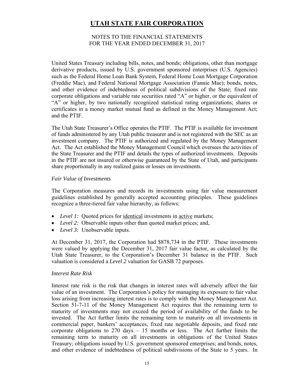## NOTES TO THE FINANCIAL STATEMENTS FOR THE YEAR ENDED DECEMBER 31, 2017

United States Treasury including bills, notes, and bonds; obligations, other than mortgage derivative products, issued by U.S. government sponsored enterprises (U.S. Agencies) such as the Federal Home Loan Bank System, Federal Home Loan Mortgage Corporation (Freddie Mac), and Federal National Mortgage Association (Fannie Mae); bonds, notes, and other evidence of indebtedness of political subdivisions of the State; fixed rate corporate obligations and variable rate securities rated "A" or higher, or the equivalent of "A" or higher, by two nationally recognized statistical rating organizations; shares or certificates in a money market mutual fund as defined in the Money Management Act; and the PTIF.

The Utah State Treasurer's Office operates the PTIF. The PTIF is available for investment of funds administered by any Utah public treasurer and is not registered with the SEC as an investment company. The PTIF is authorized and regulated by the Money Management Act. The Act established the Money Management Council which oversees the activities of the State Treasurer and the PTIF and details the types of authorized investments. Deposits in the PTIF are not insured or otherwise guaranteed by the State of Utah, and participants share proportionally in any realized gains or losses on investments.

## *Fair Value of Investments*

The Corporation measures and records its investments using fair value measurement guidelines established by generally accepted accounting principles. These guidelines recognize a three-tiered fair value hierarchy, as follows:

- Level 1: Quoted prices for <u>identical</u> investments in <u>active</u> markets;
- *Level 2:* Observable inputs other than quoted market prices; and,
- *Level 3:* Unobservable inputs.

At December 31, 2017, the Corporation had \$878,734 in the PTIF. These investments were valued by applying the December 31, 2017 fair value factor, as calculated by the Utah State Treasurer, to the Corporation's December 31 balance in the PTIF. Such valuation is considered a *Level 2* valuation for GASB 72 purposes.

## *Interest Rate Risk*

Interest rate risk is the risk that changes in interest rates will adversely affect the fair value of an investment. The Corporation's policy for managing its exposure to fair value loss arising from increasing interest rates is to comply with the Money Management Act. Section 51-7-11 of the Money Management Act requires that the remaining term to maturity of investments may not exceed the period of availability of the funds to be invested. The Act further limits the remaining term to maturity on all investments in commercial paper, bankers' acceptances, fixed rate negotiable deposits, and fixed rate corporate obligations to  $270$  days  $-15$  months or less. The Act further limits the remaining term to maturity on all investments in obligations of the United States Treasury; obligations issued by U.S. government sponsored enterprises; and bonds, notes, and other evidence of indebtedness of political subdivisions of the State to 5 years. In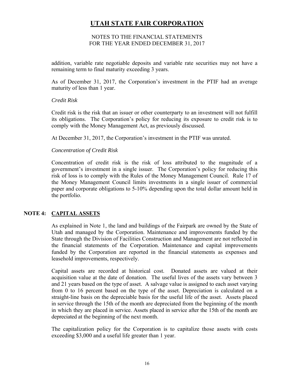## NOTES TO THE FINANCIAL STATEMENTS FOR THE YEAR ENDED DECEMBER 31, 2017

addition, variable rate negotiable deposits and variable rate securities may not have a remaining term to final maturity exceeding 3 years.

As of December 31, 2017, the Corporation's investment in the PTIF had an average maturity of less than 1 year.

## *Credit Risk*

Credit risk is the risk that an issuer or other counterparty to an investment will not fulfill its obligations. The Corporation's policy for reducing its exposure to credit risk is to comply with the Money Management Act, as previously discussed.

At December 31, 2017, the Corporation's investment in the PTIF was unrated.

## *Concentration of Credit Risk*

Concentration of credit risk is the risk of loss attributed to the magnitude of a government's investment in a single issuer. The Corporation's policy for reducing this risk of loss is to comply with the Rules of the Money Management Council. Rule 17 of the Money Management Council limits investments in a single issuer of commercial paper and corporate obligations to 5-10% depending upon the total dollar amount held in the portfolio.

## **NOTE 4: CAPITAL ASSETS**

As explained in Note 1, the land and buildings of the Fairpark are owned by the State of Utah and managed by the Corporation. Maintenance and improvements funded by the State through the Division of Facilities Construction and Management are not reflected in the financial statements of the Corporation. Maintenance and capital improvements funded by the Corporation are reported in the financial statements as expenses and leasehold improvements, respectively.

Capital assets are recorded at historical cost. Donated assets are valued at their acquisition value at the date of donation. The useful lives of the assets vary between 3 and 21 years based on the type of asset. A salvage value is assigned to each asset varying from 0 to 16 percent based on the type of the asset. Depreciation is calculated on a straight-line basis on the depreciable basis for the useful life of the asset. Assets placed in service through the 15th of the month are depreciated from the beginning of the month in which they are placed in service. Assets placed in service after the 15th of the month are depreciated at the beginning of the next month.

The capitalization policy for the Corporation is to capitalize those assets with costs exceeding \$3,000 and a useful life greater than 1 year.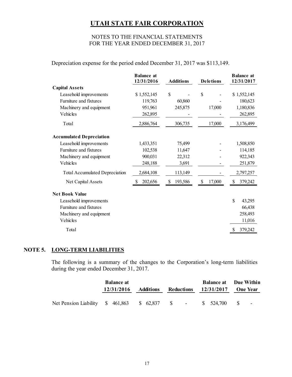## NOTES TO THE FINANCIAL STATEMENTS FOR THE YEAR ENDED DECEMBER 31, 2017

Depreciation expense for the period ended December 31, 2017 was \$113,149.

|                                       | <b>Balance</b> at<br>12/31/2016 | <b>Additions</b> | <b>Deletions</b> | <b>Balance</b> at<br>12/31/2017 |
|---------------------------------------|---------------------------------|------------------|------------------|---------------------------------|
| <b>Capital Assets</b>                 |                                 |                  |                  |                                 |
| Leasehold improvements                | \$1,552,145                     | \$               | \$               | \$1,552,145                     |
| Furniture and fixtures                | 119,763                         | 60,860           |                  | 180,623                         |
| Machinery and equipment               | 951,961                         | 245,875          | 17,000           | 1,180,836                       |
| Vehicles                              | 262,895                         |                  |                  | 262,895                         |
| Total                                 | 2,886,764                       | 306,735          | 17,000           | 3,176,499                       |
| <b>Accumulated Depreciation</b>       |                                 |                  |                  |                                 |
| Leasehold improvements                | 1,433,351                       | 75,499           |                  | 1,508,850                       |
| Furniture and fixtures                | 102,538                         | 11,647           |                  | 114,185                         |
| Machinery and equipment               | 900,031                         | 22,312           |                  | 922,343                         |
| Vehicles                              | 248,188                         | 3,691            |                  | 251,879                         |
| <b>Total Accumulated Depreciation</b> | 2,684,108                       | 113,149          |                  | 2,797,257                       |
| Net Capital Assets                    | 202,656                         | 193,586<br>\$    | \$<br>17,000     | 379,242<br>\$                   |
| <b>Net Book Value</b>                 |                                 |                  |                  |                                 |
| Leasehold improvements                |                                 |                  |                  | \$<br>43,295                    |
| Furniture and fixtures                |                                 |                  |                  | 66,438                          |
| Machinery and equipment               |                                 |                  |                  | 258,493                         |
| Vehicles                              |                                 |                  |                  | 11,016                          |
| Total                                 |                                 |                  |                  | 379,242<br>S                    |

## **NOTE 5. LONG-TERM LIABILITIES**

The following is a summary of the changes to the Corporation's long-term liabilities during the year ended December 31, 2017.

|                                                         | <b>Balance at</b> |           |            |                       | <b>Balance at</b> Due Within |
|---------------------------------------------------------|-------------------|-----------|------------|-----------------------|------------------------------|
|                                                         | 12/31/2016        | Additions | Reductions | $12/31/2017$ One Year |                              |
|                                                         |                   |           |            |                       |                              |
| Net Pension Liability \$461,863 \$62,837 \$ - \$524,700 |                   |           |            |                       | $\sim$ S<br>$\sim$           |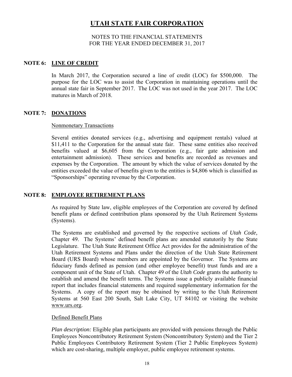## NOTES TO THE FINANCIAL STATEMENTS FOR THE YEAR ENDED DECEMBER 31, 2017

## **NOTE 6: LINE OF CREDIT**

In March 2017, the Corporation secured a line of credit (LOC) for \$500,000. The purpose for the LOC was to assist the Corporation in maintaining operations until the annual state fair in September 2017. The LOC was not used in the year 2017. The LOC matures in March of 2018.

## **NOTE 7: DONATIONS**

## Nonmonetary Transactions

Several entities donated services (e.g., advertising and equipment rentals) valued at \$11,411 to the Corporation for the annual state fair. These same entities also received benefits valued at \$6,605 from the Corporation (e.g., fair gate admission and entertainment admission). These services and benefits are recorded as revenues and expenses by the Corporation. The amount by which the value of services donated by the entities exceeded the value of benefits given to the entities is \$4,806 which is classified as "Sponsorships" operating revenue by the Corporation.

## **NOTE 8: EMPLOYEE RETIREMENT PLANS**

As required by State law, eligible employees of the Corporation are covered by defined benefit plans or defined contribution plans sponsored by the Utah Retirement Systems (Systems).

The Systems are established and governed by the respective sections of *Utah Code,*  Chapter 49. The Systems' defined benefit plans are amended statutorily by the State Legislature. The Utah State Retirement Office Act provides for the administration of the Utah Retirement Systems and Plans under the direction of the Utah State Retirement Board (URS Board) whose members are appointed by the Governor. The Systems are fiduciary funds defined as pension (and other employee benefit) trust funds and are a component unit of the State of Utah. Chapter 49 of the *Utah Code* grants the authority to establish and amend the benefit terms. The Systems issue a publicly available financial report that includes financial statements and required supplementary information for the Systems. A copy of the report may be obtained by writing to the Utah Retirement Systems at 560 East 200 South, Salt Lake City, UT 84102 or visiting the website www.urs.org.

## Defined Benefit Plans

*Plan description:* Eligible plan participants are provided with pensions through the Public Employees Noncontributory Retirement System (Noncontributory System) and the Tier 2 Public Employees Contributory Retirement System (Tier 2 Public Employees System) which are cost-sharing, multiple employer, public employee retirement systems.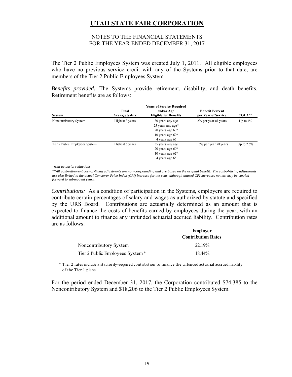## NOTES TO THE FINANCIAL STATEMENTS FOR THE YEAR ENDED DECEMBER 31, 2017

The Tier 2 Public Employees System was created July 1, 2011. All eligible employees who have no previous service credit with any of the Systems prior to that date, are members of the Tier 2 Public Employees System.

*Benefits provided:* The Systems provide retirement, disability, and death benefits. Retirement benefits are as follows:

| System                         | Final<br><b>Average Salary</b> | and/or Age<br><b>Eligible for Benefits</b> | <b>Benefit Percent</b><br>per Year of Service | $COLA***$     |
|--------------------------------|--------------------------------|--------------------------------------------|-----------------------------------------------|---------------|
| Noncontributory System         | Highest 3 years                | 30 years any age<br>25 years any age*      | 2% per year all years                         | Up to $4\%$   |
|                                |                                | 20 years age $60*$                         |                                               |               |
|                                |                                | 10 years age $62*$<br>4 years age 65       |                                               |               |
| Tier 2 Public Employees System | Highest 5 years                | 35 years any age                           | 1.5% per year all years                       | Up to $2.5\%$ |
|                                |                                | 20 years age $60*$                         |                                               |               |
|                                |                                | 10 years age $62*$                         |                                               |               |
|                                |                                | 4 years age 65                             |                                               |               |

*\*with actuarial reductions*

*\*\*All post-retirement cost-of-living adjustments are non-compounding and are based on the original benefit. The cost-of-living adjustments are also limited to the actual Consumer Price Index (CPI) Increase for the year, although unused CPI increases not met may be carried forward to subsequent years.*

*Contributions:* As a condition of participation in the Systems, employers are required to contribute certain percentages of salary and wages as authorized by statute and specified by the URS Board. Contributions are actuarially determined as an amount that is expected to finance the costs of benefits earned by employees during the year, with an additional amount to finance any unfunded actuarial accrued liability. Contribution rates are as follows:

|                                 | <b>Employer</b>           |
|---------------------------------|---------------------------|
|                                 | <b>Contribution Rates</b> |
| Noncontributory System          | 22.19%                    |
| Tier 2 Public Employees System* | 18.44%                    |

\* Tier 2 rates include a stautorily-required contribution to finance the unfunded actuarial accrued liability of the Tier 1 plans.

For the period ended December 31, 2017, the Corporation contributed \$74,385 to the Noncontributory System and \$18,206 to the Tier 2 Public Employees System.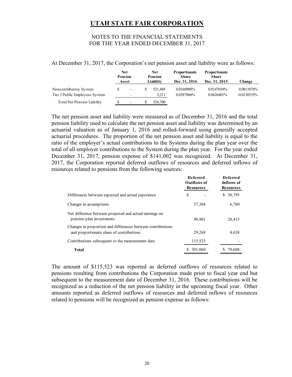## NOTES TO THE FINANCIAL STATEMENTS FOR THE YEAR ENDED DECEMBER 31, 2017

At December 31, 2017, the Corporation's net pension asset and liability were as follows:

|                                                          | Net<br>Pension<br>Asset                              | <b>Net</b><br><b>Pension</b><br>Liability | <b>Proportionate</b><br><b>Share</b><br>Dec. 31, 2016 | <b>Proportionate</b><br><b>Share</b><br>Dec. 31, 2015 | Change                       |
|----------------------------------------------------------|------------------------------------------------------|-------------------------------------------|-------------------------------------------------------|-------------------------------------------------------|------------------------------|
| Noncontributory System<br>Tier 2 Public Employees System | $\overline{\phantom{a}}$<br>$\overline{\phantom{0}}$ | 521.489<br>3.211                          | 0.0160908%<br>0.0287866%                              | 0.0147030%<br>$0.0426401\%$                           | 0.0013878%<br>$-0.0138535\%$ |
| Total Net Pension Liability                              | $\overline{\phantom{a}}$                             | 524,700                                   |                                                       |                                                       |                              |

The net pension asset and liability were measured as of December 31, 2016 and the total pension liability used to calculate the net pension asset and liability was determined by an actuarial valuation as of January 1, 2016 and rolled-forward using generally accepted actuarial procedures. The proportion of the net pension asset and liability is equal to the ratio of the employer's actual contributions to the Systems during the plan year over the total of all employer contributions to the System during the plan year. For the year ended December 31, 2017, pension expense of \$141,002 was recognized. At December 31, 2017, the Corporation reported deferred outflows of resources and deferred inflows of resources related to pensions from the following sources:

|                                                                                                         | <b>Deferred</b><br><b>Outflows of</b><br><b>Resources</b> | <b>Deferred</b><br>Inflows of<br><b>Resources</b> |
|---------------------------------------------------------------------------------------------------------|-----------------------------------------------------------|---------------------------------------------------|
| Differences between expected and actual experience                                                      | S                                                         | 30,795<br>\$                                      |
| Changes in assumptions                                                                                  | 57,368                                                    | 6,760                                             |
| Net difference between projected and actual earnings on<br>pension plan investments                     | 98,901                                                    | 28,415                                            |
| Changes in proportion and differences between contributions<br>and proportionate share of contributions | 29,268                                                    | 4,638                                             |
| Contributions subsequent to the measurement date                                                        | 115,523                                                   |                                                   |
| <b>Total</b>                                                                                            | \$ 301,060                                                | 70.608                                            |

The amount of \$115,523 was reported as deferred outflows of resources related to pensions resulting from contributions the Corporation made prior to fiscal year end but subsequent to the measurement date of December 31, 2016. These contributions will be recognized as a reduction of the net pension liability in the upcoming fiscal year. Other amounts reported as deferred outflows of resources and deferred inflows of resources related to pensions will be recognized as pension expense as follows: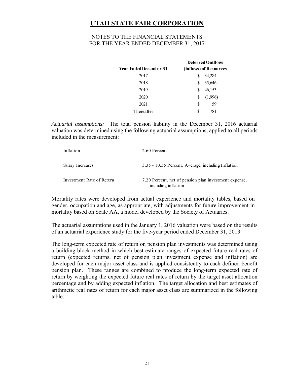## NOTES TO THE FINANCIAL STATEMENTS FOR THE YEAR ENDED DECEMBER 31, 2017

|                               | <b>Deferred Outflows</b><br>(Inflows) of Resources |  |  |
|-------------------------------|----------------------------------------------------|--|--|
| <b>Year Ended December 31</b> |                                                    |  |  |
| 2017                          | 34,284<br>S                                        |  |  |
| 2018                          | 35,646<br>S                                        |  |  |
| 2019                          | 46,153<br>S                                        |  |  |
| 2020                          | (1,996)<br>\$                                      |  |  |
| 2021                          | 59<br>S                                            |  |  |
| Thereafter                    | 781<br>S                                           |  |  |

*Actuarial assumptions:* The total pension liability in the December 31, 2016 actuarial valuation was determined using the following actuarial assumptions, applied to all periods included in the measurement:

| Inflation                 | 2.60 Percent                                                                 |
|---------------------------|------------------------------------------------------------------------------|
| Salary Increases          | 3.35 - 10.35 Percent, Average, including Inflation                           |
| Investment Rate of Return | 7.20 Percent, net of pension plan investment expense,<br>including inflation |

Mortality rates were developed from actual experience and mortality tables, based on gender, occupation and age, as appropriate, with adjustments for future improvement in mortality based on Scale AA, a model developed by the Society of Actuaries.

The actuarial assumptions used in the January 1, 2016 valuation were based on the results of an actuarial experience study for the five-year period ended December 31, 2013.

The long-term expected rate of return on pension plan investments was determined using a building-block method in which best-estimate ranges of expected future real rates of return (expected returns, net of pension plan investment expense and inflation) are developed for each major asset class and is applied consistently to each defined benefit pension plan. These ranges are combined to produce the long-term expected rate of return by weighting the expected future real rates of return by the target asset allocation percentage and by adding expected inflation. The target allocation and best estimates of arithmetic real rates of return for each major asset class are summarized in the following table: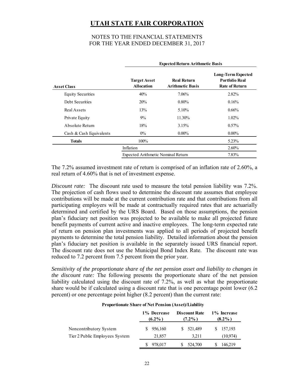## NOTES TO THE FINANCIAL STATEMENTS FOR THE YEAR ENDED DECEMBER 31, 2017

|                          | <b>Expected Return Arithmetic Basis</b>     |                                               |                                                                             |  |
|--------------------------|---------------------------------------------|-----------------------------------------------|-----------------------------------------------------------------------------|--|
| <b>Asset Class</b>       | <b>Target Asset</b><br><b>Allocation</b>    | <b>Real Return</b><br><b>Arithmetic Basis</b> | <b>Long-Term Expected</b><br><b>Portfolio Real</b><br><b>Rate of Return</b> |  |
| <b>Equity Securities</b> | 40%                                         | 7.06%                                         | 2.82%                                                                       |  |
| Debt Securities          | 20%                                         | 0.80%                                         | 0.16%                                                                       |  |
| Real Assets              | 13%                                         | 5.10%                                         | $0.66\%$                                                                    |  |
| Private Equity           | $9\%$                                       | 11.30%                                        | $1.02\%$                                                                    |  |
| Absolute Return          | 18%                                         | 3.15%                                         | $0.57\%$                                                                    |  |
| Cash & Cash Equivalents  | $0\%$                                       | $0.00\%$                                      | $0.00\%$                                                                    |  |
| <b>Totals</b>            | $100\%$                                     |                                               | 5.23%                                                                       |  |
|                          | Inflation                                   |                                               | $2.60\%$                                                                    |  |
|                          | 7.83%<br>Expected Arithmetic Nominal Return |                                               |                                                                             |  |

The 7.2% assumed investment rate of return is comprised of an inflation rate of 2.60%, a real return of 4.60% that is net of investment expense.

*Discount rate:* The discount rate used to measure the total pension liability was 7.2%. The projection of cash flows used to determine the discount rate assumes that employee contributions will be made at the current contribution rate and that contributions from all participating employers will be made at contractually required rates that are actuarially determined and certified by the URS Board. Based on those assumptions, the pension plan's fiduciary net position was projected to be available to make all projected future benefit payments of current active and inactive employees. The long-term expected rate of return on pension plan investments was applied to all periods of projected benefit payments to determine the total pension liability. Detailed information about the pension plan's fiduciary net position is available in the separately issued URS financial report. The discount rate does not use the Municipal Bond Index Rate. The discount rate was reduced to 7.2 percent from 7.5 percent from the prior year.

*Sensitivity of the proportionate share of the net pension asset and liability to changes in the discount rate:* The following presents the proportionate share of the net pension liability calculated using the discount rate of 7.2%, as well as what the proportionate share would be if calculated using a discount rate that is one percentage point lower (6.2 percent) or one percentage point higher (8.2 percent) than the current rate:

#### **Proportionate Share of Net Pension (Asset)/Liability**

|                                                          | 1% Decrease<br>$(6.2\%)$ | <b>Discount Rate</b><br>$(7.2\%$ | 1% Increase<br>$(8.2\%)$ |
|----------------------------------------------------------|--------------------------|----------------------------------|--------------------------|
| Noncontributory System<br>Tier 2 Public Employees System | 956,160<br>21,857        | 521,489<br>S.<br>3.211           | 157,193<br>S.            |
|                                                          | 978,017                  | 524,700                          | (10, 974)<br>146,219     |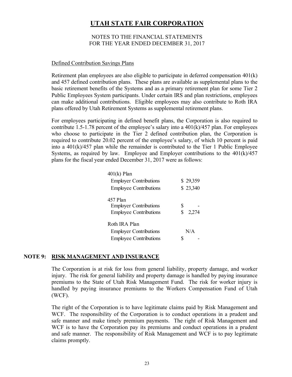## NOTES TO THE FINANCIAL STATEMENTS FOR THE YEAR ENDED DECEMBER 31, 2017

#### Defined Contribution Savings Plans

Retirement plan employees are also eligible to participate in deferred compensation 401(k) and 457 defined contribution plans. These plans are available as supplemental plans to the basic retirement benefits of the Systems and as a primary retirement plan for some Tier 2 Public Employees System participants. Under certain IRS and plan restrictions, employees can make additional contributions. Eligible employees may also contribute to Roth IRA plans offered by Utah Retirement Systems as supplemental retirement plans.

For employees participating in defined benefit plans, the Corporation is also required to contribute 1.5-1.78 percent of the employee's salary into a  $401(k)/457$  plan. For employees who choose to participate in the Tier 2 defined contribution plan, the Corporation is required to contribute 20.02 percent of the employee's salary, of which 10 percent is paid into a  $401(k)/457$  plan while the remainder is contributed to the Tier 1 Public Employee Systems, as required by law. Employee and Employer contributions to the  $401(k)/457$ plans for the fiscal year ended December 31, 2017 were as follows:

| $401(k)$ Plan                 |             |
|-------------------------------|-------------|
| <b>Employer Contributions</b> | \$29,359    |
| <b>Employee Contributions</b> | \$23,340    |
| 457 Plan                      |             |
| <b>Employer Contributions</b> | S           |
| <b>Employee Contributions</b> | \$<br>2,274 |
| Roth IRA Plan                 |             |
| <b>Employer Contributions</b> | N/A         |
| <b>Employee Contributions</b> |             |

## **NOTE 9: RISK MANAGEMENT AND INSURANCE**

The Corporation is at risk for loss from general liability, property damage, and worker injury. The risk for general liability and property damage is handled by paying insurance premiums to the State of Utah Risk Management Fund. The risk for worker injury is handled by paying insurance premiums to the Workers Compensation Fund of Utah (WCF).

The right of the Corporation is to have legitimate claims paid by Risk Management and WCF. The responsibility of the Corporation is to conduct operations in a prudent and safe manner and make timely premium payments. The right of Risk Management and WCF is to have the Corporation pay its premiums and conduct operations in a prudent and safe manner. The responsibility of Risk Management and WCF is to pay legitimate claims promptly.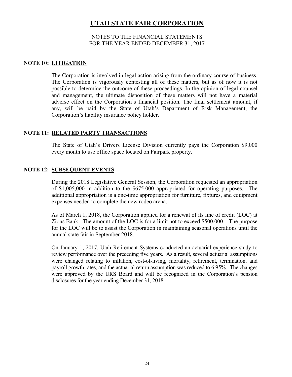## NOTES TO THE FINANCIAL STATEMENTS FOR THE YEAR ENDED DECEMBER 31, 2017

## **NOTE 10: LITIGATION**

The Corporation is involved in legal action arising from the ordinary course of business. The Corporation is vigorously contesting all of these matters, but as of now it is not possible to determine the outcome of these proceedings. In the opinion of legal counsel and management, the ultimate disposition of these matters will not have a material adverse effect on the Corporation's financial position. The final settlement amount, if any, will be paid by the State of Utah's Department of Risk Management, the Corporation's liability insurance policy holder.

## **NOTE 11: RELATED PARTY TRANSACTIONS**

The State of Utah's Drivers License Division currently pays the Corporation \$9,000 every month to use office space located on Fairpark property.

## **NOTE 12: SUBSEQUENT EVENTS**

During the 2018 Legislative General Session, the Corporation requested an appropriation of \$1,005,000 in addition to the \$675,000 appropriated for operating purposes. The additional appropriation is a one-time appropriation for furniture, fixtures, and equipment expenses needed to complete the new rodeo arena.

As of March 1, 2018, the Corporation applied for a renewal of its line of credit (LOC) at Zions Bank. The amount of the LOC is for a limit not to exceed \$500,000. The purpose for the LOC will be to assist the Corporation in maintaining seasonal operations until the annual state fair in September 2018.

On January 1, 2017, Utah Retirement Systems conducted an actuarial experience study to review performance over the preceding five years. As a result, several actuarial assumptions were changed relating to inflation, cost-of-living, mortality, retirement, termination, and payroll growth rates, and the actuarial return assumption was reduced to 6.95%. The changes were approved by the URS Board and will be recognized in the Corporation's pension disclosures for the year ending December 31, 2018.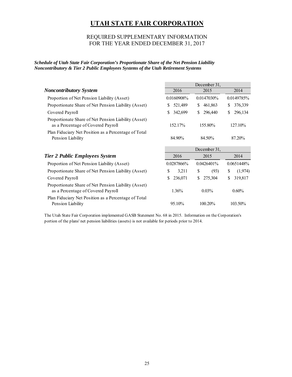## REQUIRED SUPPLEMENTARY INFORMATION FOR THE YEAR ENDED DECEMBER 31, 2017

*Schedule of Utah State Fair Corporation's Proportionate Share of the Net Pension Liability Noncontributory & Tier 2 Public Employees Systems of the Utah Retirement Systems* 

|                                                                                            |                | December 31,   |                |  |
|--------------------------------------------------------------------------------------------|----------------|----------------|----------------|--|
| <b>Noncontributory System</b>                                                              | 2015<br>2016   |                | 2014           |  |
| Proportion of Net Pension Liability (Asset)                                                | 0.0160908%     | 0.0147030%     |                |  |
| Proportionate Share of Net Pension Liability (Asset)                                       | 521,489<br>S.  | \$<br>461,863  | 376,339<br>S   |  |
| Covered Payroll                                                                            | 342,699        | \$<br>296,440  | 296,134<br>S   |  |
| Proportionate Share of Net Pension Liability (Asset)<br>as a Percentage of Covered Payroll | 152.17%        | 155.80%        | 127.10%        |  |
| Plan Fiduciary Net Position as a Percentage of Total<br>Pension Liability                  | 84.90%         | 84.50%         | 87.20%         |  |
|                                                                                            | December 31,   |                |                |  |
|                                                                                            |                |                |                |  |
| <b>Tier 2 Public Employees System</b>                                                      | 2016           | 2015           | 2014           |  |
| Proportion of Net Pension Liability (Asset)                                                | 0.0287866%     | $0.0426401\%$  | 0.0651448%     |  |
| Proportionate Share of Net Pension Liability (Asset)                                       | \$<br>3,211    | \$<br>(93)     | S<br>(1,974)   |  |
| Covered Payroll                                                                            | \$.<br>236,071 | \$.<br>275,304 | 319,817<br>\$. |  |
| Proportionate Share of Net Pension Liability (Asset)<br>as a Percentage of Covered Payroll | 1.36%          | $0.03\%$       | $0.60\%$       |  |

The Utah State Fair Corporation implemented GASB Statement No. 68 in 2015. Information on the Corporation's portion of the plans' net pension liabilities (assets) is not available for periods prior to 2014.